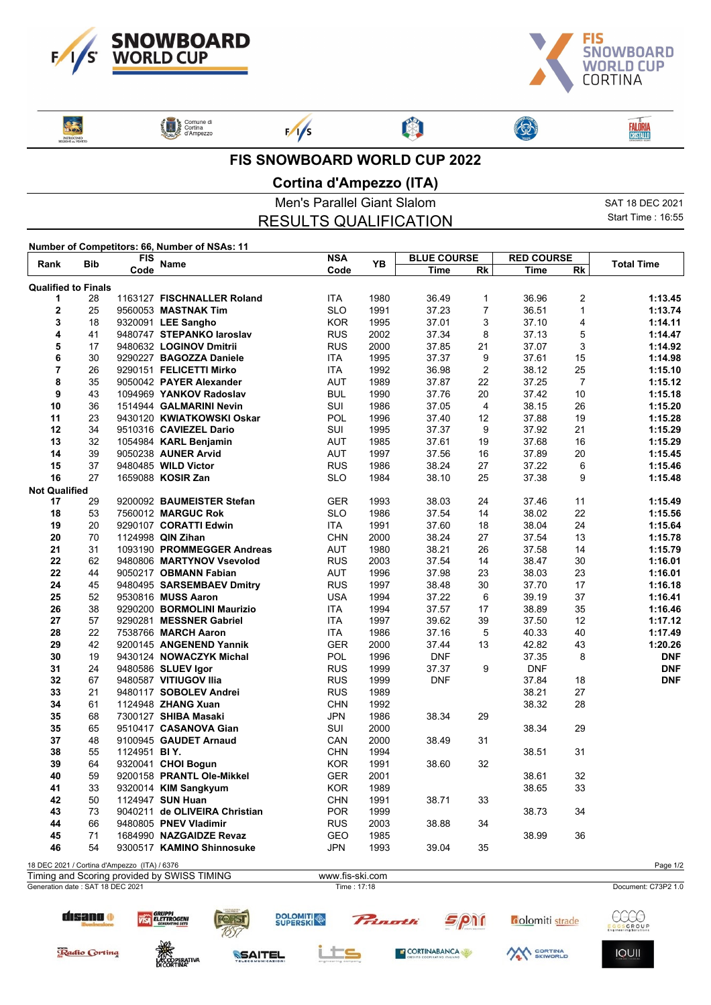



**FALÔRIA**<br>CRISTALLO

ľ

**EXPRESS** 

Comune di<br>Cortina<br>d'Ampezzo

 $F/1/s$ 

## **FIS SNOWBOARD WORLD CUP 2022**

卿

## **Cortina d'Ampezzo (ITA)**

|                                               | Men's Parallel Giant Slalom  | SAT 18 DEC 2021   |
|-----------------------------------------------|------------------------------|-------------------|
|                                               | <b>RESULTS QUALIFICATION</b> | Start Time: 16.55 |
| Number of Competitors: 66, Number of NSAs: 11 |                              |                   |

| Bib<br>Rank                      | FIS                                         | <b>Name</b>                                  | <b>NSA</b>                    | YΒ          | <b>BLUE COURSE</b> |            | <b>RED COURSE</b> |            | <b>Total Time</b> |                     |
|----------------------------------|---------------------------------------------|----------------------------------------------|-------------------------------|-------------|--------------------|------------|-------------------|------------|-------------------|---------------------|
|                                  |                                             | Code                                         |                               | Code        |                    | Time       | Rk                | Time       | Rk                |                     |
| <b>Qualified to Finals</b>       |                                             |                                              |                               |             |                    |            |                   |            |                   |                     |
| 1                                | 28                                          |                                              | 1163127 FISCHNALLER Roland    | <b>ITA</b>  | 1980               | 36.49      | $\mathbf 1$       | 36.96      | $\overline{2}$    | 1:13.45             |
| $\mathbf 2$                      | 25                                          |                                              | 9560053 MASTNAK Tim           | <b>SLO</b>  | 1991               | 37.23      | $\overline{7}$    | 36.51      | $\mathbf{1}$      | 1:13.74             |
| 3                                | 18                                          |                                              | 9320091 LEE Sangho            | <b>KOR</b>  | 1995               | 37.01      | 3                 | 37.10      | 4                 | 1:14.11             |
| 4                                | 41                                          |                                              | 9480747 STEPANKO laroslav     | <b>RUS</b>  | 2002               | 37.34      | 8                 | 37.13      | 5                 | 1:14.47             |
| 5                                | 17                                          |                                              | 9480632 LOGINOV Dmitrii       | <b>RUS</b>  | 2000               | 37.85      | 21                | 37.07      | 3                 | 1:14.92             |
| 6                                | 30                                          |                                              | 9290227 BAGOZZA Daniele       | <b>ITA</b>  | 1995               | 37.37      | 9                 | 37.61      | 15                | 1:14.98             |
| $\overline{\mathbf{r}}$          | 26                                          |                                              | 9290151 FELICETTI Mirko       | <b>ITA</b>  | 1992               | 36.98      | $\overline{c}$    | 38.12      | 25                | 1:15.10             |
| 8                                | 35                                          |                                              | 9050042 PAYER Alexander       | AUT         | 1989               | 37.87      | 22                | 37.25      | $\overline{7}$    | 1:15.12             |
| 9                                | 43                                          |                                              | 1094969 YANKOV Radoslav       | <b>BUL</b>  | 1990               | 37.76      | 20                | 37.42      | 10                | 1:15.18             |
| 10                               | 36                                          |                                              | 1514944 GALMARINI Nevin       | SUI         | 1986               | 37.05      | 4                 | 38.15      | 26                | 1:15.20             |
| 11                               | 23                                          |                                              | 9430120 KWIATKOWSKI Oskar     | POL         | 1996               | 37.40      | 12                | 37.88      | 19                | 1:15.28             |
| 12                               | 34                                          |                                              | 9510316 CAVIEZEL Dario        | SUI         | 1995               | 37.37      | 9                 | 37.92      | 21                | 1:15.29             |
| 13                               | 32                                          |                                              | 1054984 KARL Benjamin         | <b>AUT</b>  | 1985               | 37.61      | 19                | 37.68      | 16                | 1:15.29             |
| 14                               | 39                                          |                                              | 9050238 AUNER Arvid           | AUT         | 1997               | 37.56      | 16                | 37.89      | 20                | 1:15.45             |
| 15                               | 37                                          |                                              | 9480485 WILD Victor           | <b>RUS</b>  | 1986               | 38.24      | 27                | 37.22      | 6                 | 1:15.46             |
| 16                               | 27                                          |                                              | 1659088 KOSIR Zan             | <b>SLO</b>  | 1984               | 38.10      | 25                | 37.38      | 9                 | 1:15.48             |
| <b>Not Qualified</b>             |                                             |                                              |                               |             |                    |            |                   |            |                   |                     |
| 17                               | 29                                          |                                              | 9200092 BAUMEISTER Stefan     | <b>GER</b>  | 1993               | 38.03      | 24                | 37.46      | 11                | 1:15.49             |
| 18                               | 53                                          |                                              | 7560012 MARGUC Rok            | <b>SLO</b>  | 1986               | 37.54      | 14                | 38.02      | 22                | 1:15.56             |
| 19                               | 20                                          |                                              | 9290107 CORATTI Edwin         | <b>ITA</b>  | 1991               | 37.60      | 18                | 38.04      | 24                | 1:15.64             |
| 20                               | 70                                          |                                              | 1124998 QIN Zihan             | <b>CHN</b>  | 2000               | 38.24      | 27                | 37.54      | 13                | 1:15.78             |
| 21                               | 31                                          |                                              | 1093190 PROMMEGGER Andreas    | <b>AUT</b>  | 1980               | 38.21      | 26                | 37.58      | 14                | 1:15.79             |
| 22                               | 62                                          |                                              | 9480806 MARTYNOV Vsevolod     | <b>RUS</b>  | 2003               | 37.54      | 14                | 38.47      | 30                | 1:16.01             |
| 22                               | 44                                          |                                              | 9050217 OBMANN Fabian         | <b>AUT</b>  | 1996               | 37.98      | 23                | 38.03      | 23                | 1:16.01             |
| 24                               | 45                                          |                                              | 9480495 SARSEMBAEV Dmitry     | <b>RUS</b>  | 1997               | 38.48      | 30                | 37.70      | 17                | 1:16.18             |
| 25                               | 52                                          |                                              | 9530816 MUSS Aaron            | <b>USA</b>  | 1994               | 37.22      | 6                 | 39.19      | 37                | 1:16.41             |
| 26                               | 38                                          |                                              | 9290200 BORMOLINI Maurizio    | <b>ITA</b>  | 1994               | 37.57      | 17                | 38.89      | 35                | 1:16.46             |
| 27                               | 57                                          |                                              | 9290281 MESSNER Gabriel       | <b>ITA</b>  | 1997               | 39.62      | 39                | 37.50      | 12                | 1:17.12             |
| 28                               | 22                                          |                                              | 7538766 MARCH Aaron           | ITA         | 1986               | 37.16      | 5                 | 40.33      | 40                | 1:17.49             |
| 29                               | 42                                          |                                              | 9200145 ANGENEND Yannik       | <b>GER</b>  | 2000               | 37.44      | 13                | 42.82      | 43                | 1:20.26             |
| 30                               | 19                                          |                                              | 9430124 NOWACZYK Michal       | POL         | 1996               | <b>DNF</b> |                   | 37.35      | 8                 | <b>DNF</b>          |
| 31                               | 24                                          |                                              | 9480586 SLUEV Igor            | <b>RUS</b>  | 1999               | 37.37      | 9                 | <b>DNF</b> |                   | <b>DNF</b>          |
| 32                               | 67                                          |                                              | 9480587 VITIUGOV Ilia         | <b>RUS</b>  | 1999               | <b>DNF</b> |                   | 37.84      | 18                | <b>DNF</b>          |
| 33                               | 21                                          |                                              | 9480117 SOBOLEV Andrei        | <b>RUS</b>  | 1989               |            |                   | 38.21      | 27                |                     |
| 34                               | 61                                          |                                              | 1124948 ZHANG Xuan            | <b>CHN</b>  | 1992               |            |                   | 38.32      | 28                |                     |
| 35                               | 68                                          |                                              | 7300127 SHIBA Masaki          | <b>JPN</b>  | 1986               | 38.34      | 29                |            |                   |                     |
| 35                               | 65                                          |                                              | 9510417 CASANOVA Gian         | SUI         | 2000               |            |                   | 38.34      | 29                |                     |
| 37                               | 48                                          |                                              | 9100945 GAUDET Arnaud         | CAN         | 2000               | 38.49      | 31                |            |                   |                     |
| 38                               | 55                                          | 1124951 BIY.                                 |                               | <b>CHN</b>  | 1994               |            |                   | 38.51      | 31                |                     |
| 39                               | 64                                          |                                              | 9320041 CHOI Bogun            | <b>KOR</b>  | 1991               | 38.60      | 32                |            |                   |                     |
| 40                               | 59                                          |                                              | 9200158 PRANTL Ole-Mikkel     | <b>GER</b>  | 2001               |            |                   | 38.61      | 32                |                     |
|                                  |                                             |                                              |                               |             |                    |            |                   |            |                   |                     |
| 41                               | $33\,$                                      |                                              | 9320014 KIM Sangkyum          | <b>KOR</b>  | 1989               |            |                   | 38.65      | 33                |                     |
| 42                               | 50                                          |                                              | 1124947 SUN Huan              | <b>CHN</b>  | 1991               | 38.71      | 33                |            |                   |                     |
| 43                               | 73                                          |                                              | 9040211 de OLIVEIRA Christian | <b>POR</b>  | 1999               |            |                   | 38.73      | 34                |                     |
| 44                               | 66                                          |                                              | 9480805 PNEV Vladimir         | <b>RUS</b>  | 2003               | 38.88      | 34                |            |                   |                     |
| 45                               | 71                                          |                                              | 1684990 NAZGAIDZE Revaz       | GEO         | 1985               |            |                   | 38.99      | 36                |                     |
| 46                               | 54                                          |                                              | 9300517 KAMINO Shinnosuke     | JPN         | 1993               | 39.04      | 35                |            |                   |                     |
|                                  |                                             | 18 DEC 2021 / Cortina d'Ampezzo (ITA) / 6376 |                               |             |                    |            |                   |            |                   | Page 1/2            |
|                                  | Timing and Scoring provided by SWISS TIMING |                                              |                               |             | www.fis-ski.com    |            |                   |            |                   |                     |
| Generation date: SAT 18 DEC 2021 |                                             |                                              |                               | Time: 17:18 |                    |            |                   |            |                   | Document: C73P2 1.0 |



disano o

VISA ELETTROGENI

**ACCOPERATIVA** 



SSAITEL







**IOUII**